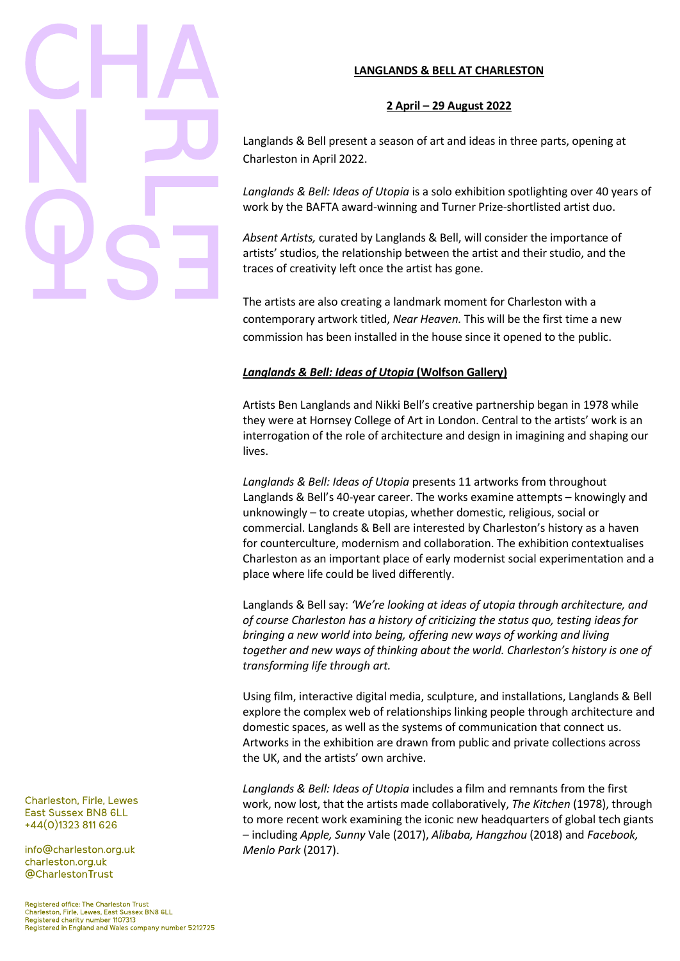# **LANGLANDS & BELL AT CHARLESTON**

# **2 April – 29 August 2022**

Langlands & Bell present a season of art and ideas in three parts, opening at Charleston in April 2022.

*Langlands & Bell: Ideas of Utopia* is a solo exhibition spotlighting over 40 years of work by the BAFTA award-winning and Turner Prize-shortlisted artist duo.

*Absent Artists,* curated by Langlands & Bell, will consider the importance of artists' studios, the relationship between the artist and their studio, and the traces of creativity left once the artist has gone.

The artists are also creating a landmark moment for Charleston with a contemporary artwork titled, *Near Heaven.* This will be the first time a new commission has been installed in the house since it opened to the public.

# *Langlands & Bell: Ideas of Utopia* **(Wolfson Gallery)**

Artists Ben Langlands and Nikki Bell's creative partnership began in 1978 while they were at Hornsey College of Art in London. Central to the artists' work is an interrogation of the role of architecture and design in imagining and shaping our lives.

*Langlands & Bell: Ideas of Utopia* presents 11 artworks from throughout Langlands & Bell's 40-year career. The works examine attempts – knowingly and unknowingly – to create utopias, whether domestic, religious, social or commercial. Langlands & Bell are interested by Charleston's history as a haven for counterculture, modernism and collaboration. The exhibition contextualises Charleston as an important place of early modernist social experimentation and a place where life could be lived differently.

Langlands & Bell say: *'We're looking at ideas of utopia through architecture, and of course Charleston has a history of criticizing the status quo, testing ideas for bringing a new world into being, offering new ways of working and living together and new ways of thinking about the world. Charleston's history is one of transforming life through art.*

Using film, interactive digital media, sculpture, and installations, Langlands & Bell explore the complex web of relationships linking people through architecture and domestic spaces, as well as the systems of communication that connect us. Artworks in the exhibition are drawn from public and private collections across the UK, and the artists' own archive.

*Langlands & Bell: Ideas of Utopia* includes a film and remnants from the first work, now lost, that the artists made collaboratively, *The Kitchen* (1978), through to more recent work examining the iconic new headquarters of global tech giants – including *Apple, Sunny* Vale (2017), *Alibaba, Hangzhou* (2018) and *Facebook, Menlo Park* (2017).

Charleston, Firle, Lewes East Sussex BN8 6LL +44(0)1323 811 626

info@charleston.org.uk charleston.org.uk @CharlestonTrust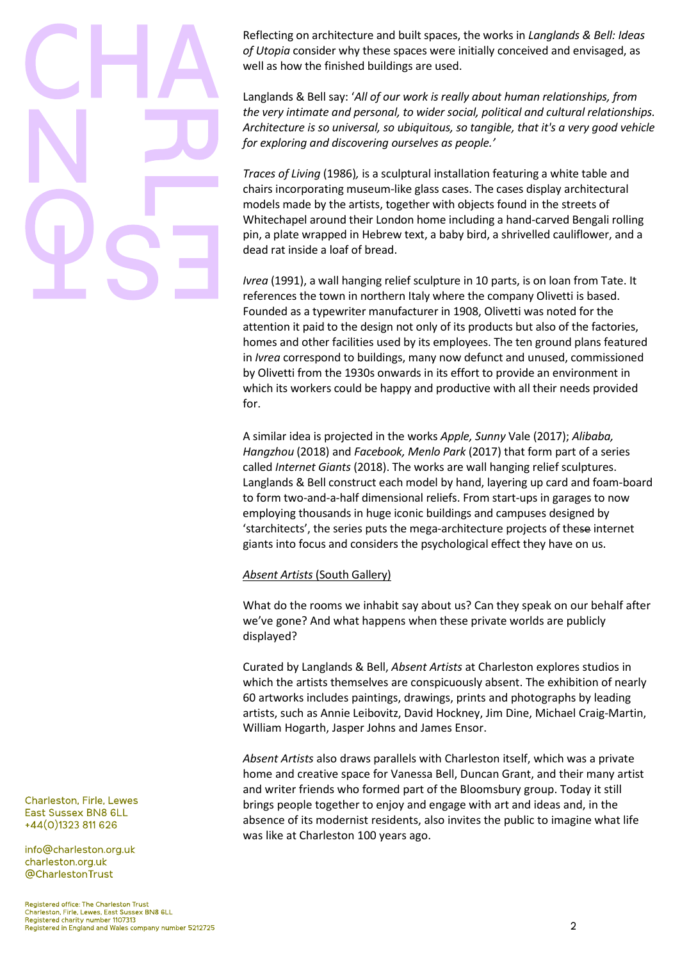Reflecting on architecture and built spaces, the works in *Langlands & Bell: Ideas of Utopia* consider why these spaces were initially conceived and envisaged, as well as how the finished buildings are used.

Langlands & Bell say: '*All of our work is really about human relationships, from the very intimate and personal, to wider social, political and cultural relationships. Architecture is so universal, so ubiquitous, so tangible, that it's a very good vehicle for exploring and discovering ourselves as people.'*

*Traces of Living* (1986)*,* is a sculptural installation featuring a white table and chairs incorporating museum-like glass cases. The cases display architectural models made by the artists, together with objects found in the streets of Whitechapel around their London home including a hand-carved Bengali rolling pin, a plate wrapped in Hebrew text, a baby bird, a shrivelled cauliflower, and a dead rat inside a loaf of bread.

*Ivrea* (1991), a wall hanging relief sculpture in 10 parts, is on loan from Tate. It references the town in northern Italy where the company Olivetti is based. Founded as a typewriter manufacturer in 1908, Olivetti was noted for the attention it paid to the design not only of its products but also of the factories, homes and other facilities used by its employees. The ten ground plans featured in *Ivrea* correspond to buildings, many now defunct and unused, commissioned by Olivetti from the 1930s onwards in its effort to provide an environment in which its workers could be happy and productive with all their needs provided for.

A similar idea is projected in the works *Apple, Sunny* Vale (2017); *Alibaba, Hangzhou* (2018) and *Facebook, Menlo Park* (2017) that form part of a series called *Internet Giants* (2018). The works are wall hanging relief sculptures. Langlands & Bell construct each model by hand, layering up card and foam-board to form two-and-a-half dimensional reliefs. From start-ups in garages to now employing thousands in huge iconic buildings and campuses designed by 'starchitects', the series puts the mega-architecture projects of these internet giants into focus and considers the psychological effect they have on us.

# *Absent Artists* (South Gallery)

What do the rooms we inhabit say about us? Can they speak on our behalf after we've gone? And what happens when these private worlds are publicly displayed?

Curated by Langlands & Bell, *Absent Artists* at Charleston explores studios in which the artists themselves are conspicuously absent. The exhibition of nearly 60 artworks includes paintings, drawings, prints and photographs by leading artists, such as Annie Leibovitz, David Hockney, Jim Dine, Michael Craig-Martin, William Hogarth, Jasper Johns and James Ensor.

*Absent Artists* also draws parallels with Charleston itself, which was a private home and creative space for Vanessa Bell, Duncan Grant, and their many artist and writer friends who formed part of the Bloomsbury group. Today it still brings people together to enjoy and engage with art and ideas and, in the absence of its modernist residents, also invites the public to imagine what life was like at Charleston 100 years ago.

Charleston, Firle, Lewes East Sussex BN8 6LL +44(0)1323 811 626

info@charleston.org.uk charleston.org.uk @CharlestonTrust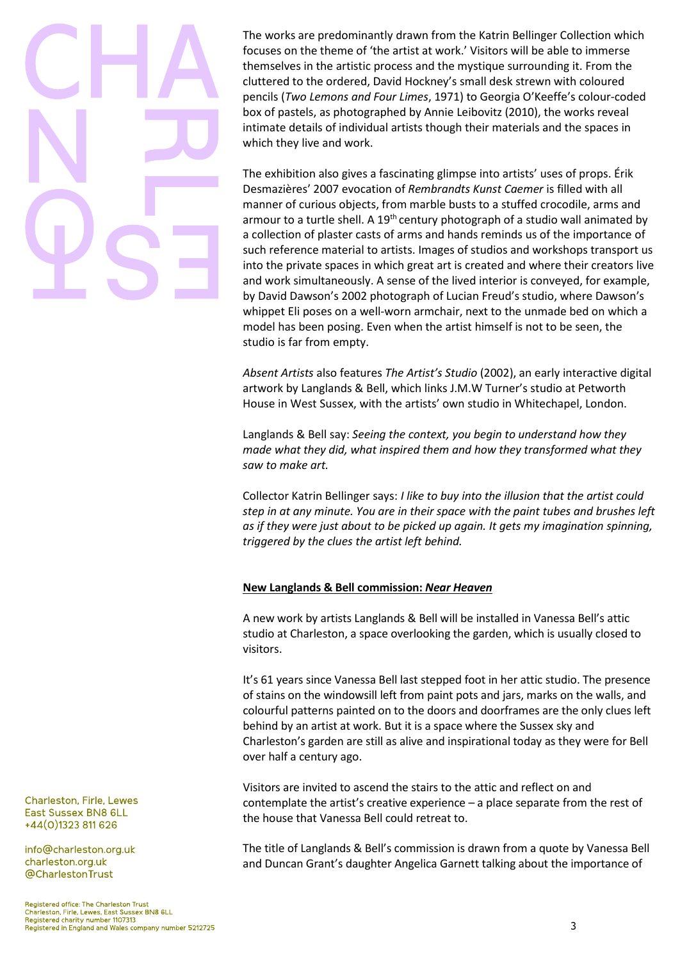The works are predominantly drawn from the Katrin Bellinger Collection which focuses on the theme of 'the artist at work.' Visitors will be able to immerse themselves in the artistic process and the mystique surrounding it. From the cluttered to the ordered, David Hockney's small desk strewn with coloured pencils (*Two Lemons and Four Limes*, 1971) to Georgia O'Keeffe's colour-coded box of pastels, as photographed by Annie Leibovitz (2010), the works reveal intimate details of individual artists though their materials and the spaces in which they live and work.

The exhibition also gives a fascinating glimpse into artists' uses of props. Érik Desmazières' 2007 evocation of *Rembrandts Kunst Caemer* is filled with all manner of curious objects, from marble busts to a stuffed crocodile, arms and armour to a turtle shell. A  $19<sup>th</sup>$  century photograph of a studio wall animated by a collection of plaster casts of arms and hands reminds us of the importance of such reference material to artists. Images of studios and workshops transport us into the private spaces in which great art is created and where their creators live and work simultaneously. A sense of the lived interior is conveyed, for example, by David Dawson's 2002 photograph of Lucian Freud's studio, where Dawson's whippet Eli poses on a well-worn armchair, next to the unmade bed on which a model has been posing. Even when the artist himself is not to be seen, the studio is far from empty.

*Absent Artists* also features *The Artist's Studio* (2002), an early interactive digital artwork by Langlands & Bell, which links J.M.W Turner's studio at Petworth House in West Sussex, with the artists' own studio in Whitechapel, London.

Langlands & Bell say: *Seeing the context, you begin to understand how they made what they did, what inspired them and how they transformed what they saw to make art.*

Collector Katrin Bellinger says: *I like to buy into the illusion that the artist could step in at any minute. You are in their space with the paint tubes and brushes left as if they were just about to be picked up again. It gets my imagination spinning, triggered by the clues the artist left behind.*

# **New Langlands & Bell commission:** *Near Heaven*

A new work by artists Langlands & Bell will be installed in Vanessa Bell's attic studio at Charleston, a space overlooking the garden, which is usually closed to visitors.

It's 61 years since Vanessa Bell last stepped foot in her attic studio. The presence of stains on the windowsill left from paint pots and jars, marks on the walls, and colourful patterns painted on to the doors and doorframes are the only clues left behind by an artist at work. But it is a space where the Sussex sky and Charleston's garden are still as alive and inspirational today as they were for Bell over half a century ago.

Visitors are invited to ascend the stairs to the attic and reflect on and contemplate the artist's creative experience – a place separate from the rest of the house that Vanessa Bell could retreat to.

The title of Langlands & Bell's commission is drawn from a quote by Vanessa Bell and Duncan Grant's daughter Angelica Garnett talking about the importance of

Charleston, Firle, Lewes East Sussex BN8 6LL +44(0)1323 811 626

info@charleston.org.uk charleston.org.uk @CharlestonTrust